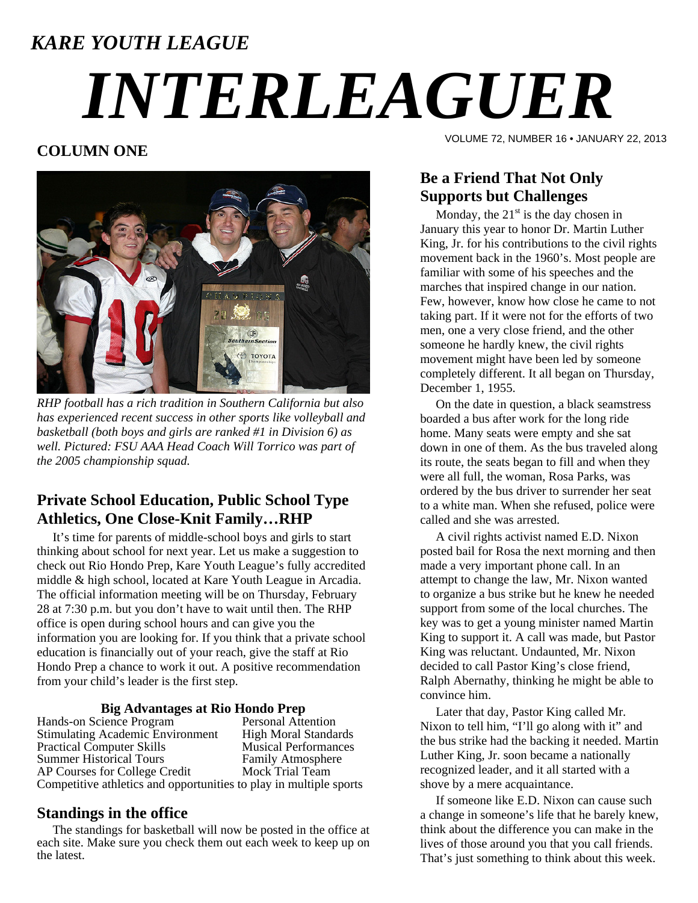# *KARE YOUTH LEAGUE INTERLEAGUER*

## **COLUMN ONE**



*RHP football has a rich tradition in Southern California but also has experienced recent success in other sports like volleyball and basketball (both boys and girls are ranked #1 in Division 6) as well. Pictured: FSU AAA Head Coach Will Torrico was part of the 2005 championship squad.* 

## **Private School Education, Public School Type Athletics, One Close-Knit Family…RHP**

 It's time for parents of middle-school boys and girls to start thinking about school for next year. Let us make a suggestion to check out Rio Hondo Prep, Kare Youth League's fully accredited middle & high school, located at Kare Youth League in Arcadia. The official information meeting will be on Thursday, February 28 at 7:30 p.m. but you don't have to wait until then. The RHP office is open during school hours and can give you the information you are looking for. If you think that a private school education is financially out of your reach, give the staff at Rio Hondo Prep a chance to work it out. A positive recommendation from your child's leader is the first step.

## **Big Advantages at Rio Hondo Prep**

Hands-on Science Program<br>
Stimulating Academic Environment High Moral Standards Stimulating Academic Environment<br>
Practical Computer Skills<br>
Musical Performances Practical Computer Skills Summer Historical Tours<br>
AP Courses for College Credit<br>
Mock Trial Team AP Courses for College Credit Competitive athletics and opportunities to play in multiple sports

#### **Standings in the office**

 The standings for basketball will now be posted in the office at each site. Make sure you check them out each week to keep up on the latest.

VOLUME 72, NUMBER 16 • JANUARY 22, 2013

## **Be a Friend That Not Only Supports but Challenges**

Monday, the  $21<sup>st</sup>$  is the day chosen in January this year to honor Dr. Martin Luther King, Jr. for his contributions to the civil rights movement back in the 1960's. Most people are familiar with some of his speeches and the marches that inspired change in our nation. Few, however, know how close he came to not taking part. If it were not for the efforts of two men, one a very close friend, and the other someone he hardly knew, the civil rights movement might have been led by someone completely different. It all began on Thursday, December 1, 1955.

 On the date in question, a black seamstress boarded a bus after work for the long ride home. Many seats were empty and she sat down in one of them. As the bus traveled along its route, the seats began to fill and when they were all full, the woman, Rosa Parks, was ordered by the bus driver to surrender her seat to a white man. When she refused, police were called and she was arrested.

 A civil rights activist named E.D. Nixon posted bail for Rosa the next morning and then made a very important phone call. In an attempt to change the law, Mr. Nixon wanted to organize a bus strike but he knew he needed support from some of the local churches. The key was to get a young minister named Martin King to support it. A call was made, but Pastor King was reluctant. Undaunted, Mr. Nixon decided to call Pastor King's close friend, Ralph Abernathy, thinking he might be able to convince him.

 Later that day, Pastor King called Mr. Nixon to tell him, "I'll go along with it" and the bus strike had the backing it needed. Martin Luther King, Jr. soon became a nationally recognized leader, and it all started with a shove by a mere acquaintance.

 If someone like E.D. Nixon can cause such a change in someone's life that he barely knew, think about the difference you can make in the lives of those around you that you call friends. That's just something to think about this week.